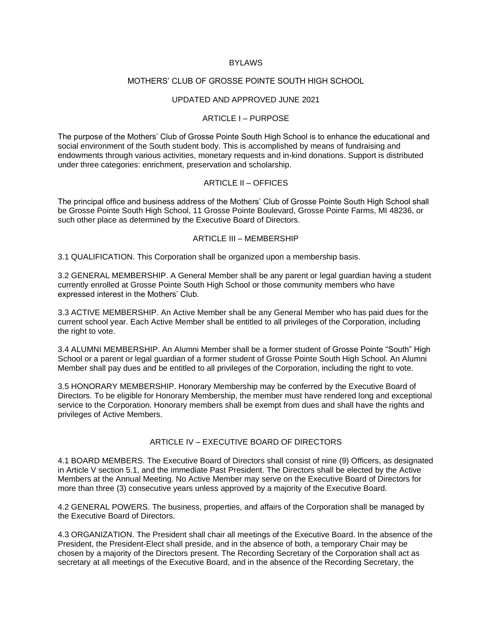### BYLAWS

### MOTHERS' CLUB OF GROSSE POINTE SOUTH HIGH SCHOOL

### UPDATED AND APPROVED JUNE 2021

### ARTICLE I – PURPOSE

The purpose of the Mothers' Club of Grosse Pointe South High School is to enhance the educational and social environment of the South student body. This is accomplished by means of fundraising and endowments through various activities, monetary requests and in-kind donations. Support is distributed under three categories: enrichment, preservation and scholarship.

### ARTICLE II – OFFICES

The principal office and business address of the Mothers' Club of Grosse Pointe South High School shall be Grosse Pointe South High School, 11 Grosse Pointe Boulevard, Grosse Pointe Farms, MI 48236, or such other place as determined by the Executive Board of Directors.

## ARTICLE III – MEMBERSHIP

3.1 QUALIFICATION. This Corporation shall be organized upon a membership basis.

3.2 GENERAL MEMBERSHIP. A General Member shall be any parent or legal guardian having a student currently enrolled at Grosse Pointe South High School or those community members who have expressed interest in the Mothers' Club.

3.3 ACTIVE MEMBERSHIP. An Active Member shall be any General Member who has paid dues for the current school year. Each Active Member shall be entitled to all privileges of the Corporation, including the right to vote.

3.4 ALUMNI MEMBERSHIP. An Alumni Member shall be a former student of Grosse Pointe "South" High School or a parent or legal guardian of a former student of Grosse Pointe South High School. An Alumni Member shall pay dues and be entitled to all privileges of the Corporation, including the right to vote.

3.5 HONORARY MEMBERSHIP. Honorary Membership may be conferred by the Executive Board of Directors. To be eligible for Honorary Membership, the member must have rendered long and exceptional service to the Corporation. Honorary members shall be exempt from dues and shall have the rights and privileges of Active Members.

# ARTICLE IV – EXECUTIVE BOARD OF DIRECTORS

4.1 BOARD MEMBERS. The Executive Board of Directors shall consist of nine (9) Officers, as designated in Article V section 5.1, and the immediate Past President. The Directors shall be elected by the Active Members at the Annual Meeting. No Active Member may serve on the Executive Board of Directors for more than three (3) consecutive years unless approved by a majority of the Executive Board.

4.2 GENERAL POWERS. The business, properties, and affairs of the Corporation shall be managed by the Executive Board of Directors.

4.3 ORGANIZATION. The President shall chair all meetings of the Executive Board. In the absence of the President, the President-Elect shall preside, and in the absence of both, a temporary Chair may be chosen by a majority of the Directors present. The Recording Secretary of the Corporation shall act as secretary at all meetings of the Executive Board, and in the absence of the Recording Secretary, the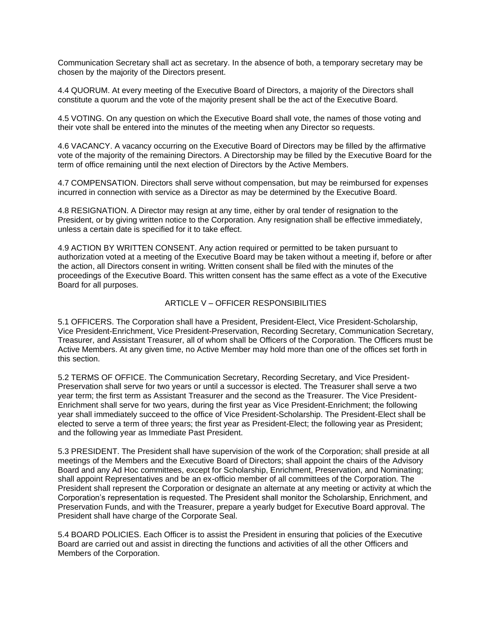Communication Secretary shall act as secretary. In the absence of both, a temporary secretary may be chosen by the majority of the Directors present.

4.4 QUORUM. At every meeting of the Executive Board of Directors, a majority of the Directors shall constitute a quorum and the vote of the majority present shall be the act of the Executive Board.

4.5 VOTING. On any question on which the Executive Board shall vote, the names of those voting and their vote shall be entered into the minutes of the meeting when any Director so requests.

4.6 VACANCY. A vacancy occurring on the Executive Board of Directors may be filled by the affirmative vote of the majority of the remaining Directors. A Directorship may be filled by the Executive Board for the term of office remaining until the next election of Directors by the Active Members.

4.7 COMPENSATION. Directors shall serve without compensation, but may be reimbursed for expenses incurred in connection with service as a Director as may be determined by the Executive Board.

4.8 RESIGNATION. A Director may resign at any time, either by oral tender of resignation to the President, or by giving written notice to the Corporation. Any resignation shall be effective immediately, unless a certain date is specified for it to take effect.

4.9 ACTION BY WRITTEN CONSENT. Any action required or permitted to be taken pursuant to authorization voted at a meeting of the Executive Board may be taken without a meeting if, before or after the action, all Directors consent in writing. Written consent shall be filed with the minutes of the proceedings of the Executive Board. This written consent has the same effect as a vote of the Executive Board for all purposes.

## ARTICLE V – OFFICER RESPONSIBILITIES

5.1 OFFICERS. The Corporation shall have a President, President-Elect, Vice President-Scholarship, Vice President-Enrichment, Vice President-Preservation, Recording Secretary, Communication Secretary, Treasurer, and Assistant Treasurer, all of whom shall be Officers of the Corporation. The Officers must be Active Members. At any given time, no Active Member may hold more than one of the offices set forth in this section.

5.2 TERMS OF OFFICE. The Communication Secretary, Recording Secretary, and Vice President-Preservation shall serve for two years or until a successor is elected. The Treasurer shall serve a two year term; the first term as Assistant Treasurer and the second as the Treasurer. The Vice President-Enrichment shall serve for two years, during the first year as Vice President-Enrichment; the following year shall immediately succeed to the office of Vice President-Scholarship. The President-Elect shall be elected to serve a term of three years; the first year as President-Elect; the following year as President; and the following year as Immediate Past President.

5.3 PRESIDENT. The President shall have supervision of the work of the Corporation; shall preside at all meetings of the Members and the Executive Board of Directors; shall appoint the chairs of the Advisory Board and any Ad Hoc committees, except for Scholarship, Enrichment, Preservation, and Nominating; shall appoint Representatives and be an ex-officio member of all committees of the Corporation. The President shall represent the Corporation or designate an alternate at any meeting or activity at which the Corporation's representation is requested. The President shall monitor the Scholarship, Enrichment, and Preservation Funds, and with the Treasurer, prepare a yearly budget for Executive Board approval. The President shall have charge of the Corporate Seal.

5.4 BOARD POLICIES. Each Officer is to assist the President in ensuring that policies of the Executive Board are carried out and assist in directing the functions and activities of all the other Officers and Members of the Corporation.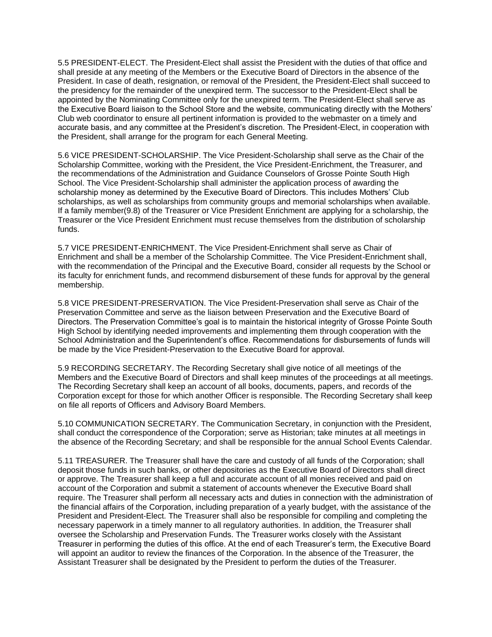5.5 PRESIDENT-ELECT. The President-Elect shall assist the President with the duties of that office and shall preside at any meeting of the Members or the Executive Board of Directors in the absence of the President. In case of death, resignation, or removal of the President, the President-Elect shall succeed to the presidency for the remainder of the unexpired term. The successor to the President-Elect shall be appointed by the Nominating Committee only for the unexpired term. The President-Elect shall serve as the Executive Board liaison to the School Store and the website, communicating directly with the Mothers' Club web coordinator to ensure all pertinent information is provided to the webmaster on a timely and accurate basis, and any committee at the President's discretion. The President-Elect, in cooperation with the President, shall arrange for the program for each General Meeting.

5.6 VICE PRESIDENT-SCHOLARSHIP. The Vice President-Scholarship shall serve as the Chair of the Scholarship Committee, working with the President, the Vice President-Enrichment, the Treasurer, and the recommendations of the Administration and Guidance Counselors of Grosse Pointe South High School. The Vice President-Scholarship shall administer the application process of awarding the scholarship money as determined by the Executive Board of Directors. This includes Mothers' Club scholarships, as well as scholarships from community groups and memorial scholarships when available. If a family member(9.8) of the Treasurer or Vice President Enrichment are applying for a scholarship, the Treasurer or the Vice President Enrichment must recuse themselves from the distribution of scholarship funds.

5.7 VICE PRESIDENT-ENRICHMENT. The Vice President-Enrichment shall serve as Chair of Enrichment and shall be a member of the Scholarship Committee. The Vice President-Enrichment shall, with the recommendation of the Principal and the Executive Board, consider all requests by the School or its faculty for enrichment funds, and recommend disbursement of these funds for approval by the general membership.

5.8 VICE PRESIDENT-PRESERVATION. The Vice President-Preservation shall serve as Chair of the Preservation Committee and serve as the liaison between Preservation and the Executive Board of Directors. The Preservation Committee's goal is to maintain the historical integrity of Grosse Pointe South High School by identifying needed improvements and implementing them through cooperation with the School Administration and the Superintendent's office. Recommendations for disbursements of funds will be made by the Vice President-Preservation to the Executive Board for approval.

5.9 RECORDING SECRETARY. The Recording Secretary shall give notice of all meetings of the Members and the Executive Board of Directors and shall keep minutes of the proceedings at all meetings. The Recording Secretary shall keep an account of all books, documents, papers, and records of the Corporation except for those for which another Officer is responsible. The Recording Secretary shall keep on file all reports of Officers and Advisory Board Members.

5.10 COMMUNICATION SECRETARY. The Communication Secretary, in conjunction with the President, shall conduct the correspondence of the Corporation; serve as Historian; take minutes at all meetings in the absence of the Recording Secretary; and shall be responsible for the annual School Events Calendar.

5.11 TREASURER. The Treasurer shall have the care and custody of all funds of the Corporation; shall deposit those funds in such banks, or other depositories as the Executive Board of Directors shall direct or approve. The Treasurer shall keep a full and accurate account of all monies received and paid on account of the Corporation and submit a statement of accounts whenever the Executive Board shall require. The Treasurer shall perform all necessary acts and duties in connection with the administration of the financial affairs of the Corporation, including preparation of a yearly budget, with the assistance of the President and President-Elect. The Treasurer shall also be responsible for compiling and completing the necessary paperwork in a timely manner to all regulatory authorities. In addition, the Treasurer shall oversee the Scholarship and Preservation Funds. The Treasurer works closely with the Assistant Treasurer in performing the duties of this office. At the end of each Treasurer's term, the Executive Board will appoint an auditor to review the finances of the Corporation. In the absence of the Treasurer, the Assistant Treasurer shall be designated by the President to perform the duties of the Treasurer.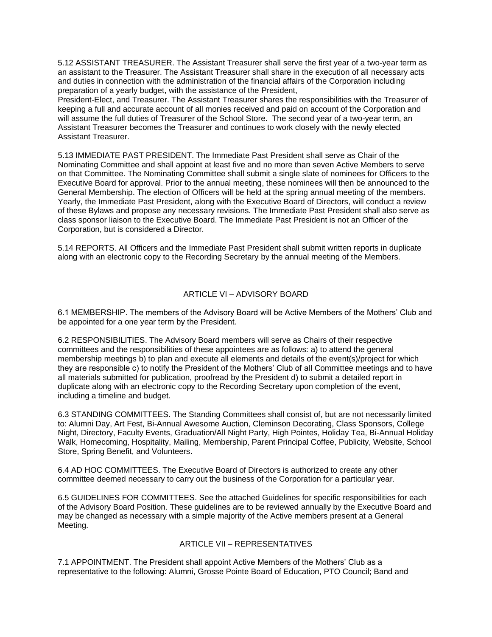5.12 ASSISTANT TREASURER. The Assistant Treasurer shall serve the first year of a two-year term as an assistant to the Treasurer. The Assistant Treasurer shall share in the execution of all necessary acts and duties in connection with the administration of the financial affairs of the Corporation including preparation of a yearly budget, with the assistance of the President,

President-Elect, and Treasurer. The Assistant Treasurer shares the responsibilities with the Treasurer of keeping a full and accurate account of all monies received and paid on account of the Corporation and will assume the full duties of Treasurer of the School Store. The second year of a two-year term, an Assistant Treasurer becomes the Treasurer and continues to work closely with the newly elected Assistant Treasurer.

5.13 IMMEDIATE PAST PRESIDENT. The Immediate Past President shall serve as Chair of the Nominating Committee and shall appoint at least five and no more than seven Active Members to serve on that Committee. The Nominating Committee shall submit a single slate of nominees for Officers to the Executive Board for approval. Prior to the annual meeting, these nominees will then be announced to the General Membership. The election of Officers will be held at the spring annual meeting of the members. Yearly, the Immediate Past President, along with the Executive Board of Directors, will conduct a review of these Bylaws and propose any necessary revisions. The Immediate Past President shall also serve as class sponsor liaison to the Executive Board. The Immediate Past President is not an Officer of the Corporation, but is considered a Director.

5.14 REPORTS. All Officers and the Immediate Past President shall submit written reports in duplicate along with an electronic copy to the Recording Secretary by the annual meeting of the Members.

# ARTICLE VI – ADVISORY BOARD

6.1 MEMBERSHIP. The members of the Advisory Board will be Active Members of the Mothers' Club and be appointed for a one year term by the President.

6.2 RESPONSIBILITIES. The Advisory Board members will serve as Chairs of their respective committees and the responsibilities of these appointees are as follows: a) to attend the general membership meetings b) to plan and execute all elements and details of the event(s)/project for which they are responsible c) to notify the President of the Mothers' Club of all Committee meetings and to have all materials submitted for publication, proofread by the President d) to submit a detailed report in duplicate along with an electronic copy to the Recording Secretary upon completion of the event, including a timeline and budget.

6.3 STANDING COMMITTEES. The Standing Committees shall consist of, but are not necessarily limited to: Alumni Day, Art Fest, Bi-Annual Awesome Auction, Cleminson Decorating, Class Sponsors, College Night, Directory, Faculty Events, Graduation/All Night Party, High Pointes, Holiday Tea, Bi-Annual Holiday Walk, Homecoming, Hospitality, Mailing, Membership, Parent Principal Coffee, Publicity, Website, School Store, Spring Benefit, and Volunteers.

6.4 AD HOC COMMITTEES. The Executive Board of Directors is authorized to create any other committee deemed necessary to carry out the business of the Corporation for a particular year.

6.5 GUIDELINES FOR COMMITTEES. See the attached Guidelines for specific responsibilities for each of the Advisory Board Position. These guidelines are to be reviewed annually by the Executive Board and may be changed as necessary with a simple majority of the Active members present at a General Meeting.

### ARTICLE VII – REPRESENTATIVES

7.1 APPOINTMENT. The President shall appoint Active Members of the Mothers' Club as a representative to the following: Alumni, Grosse Pointe Board of Education, PTO Council; Band and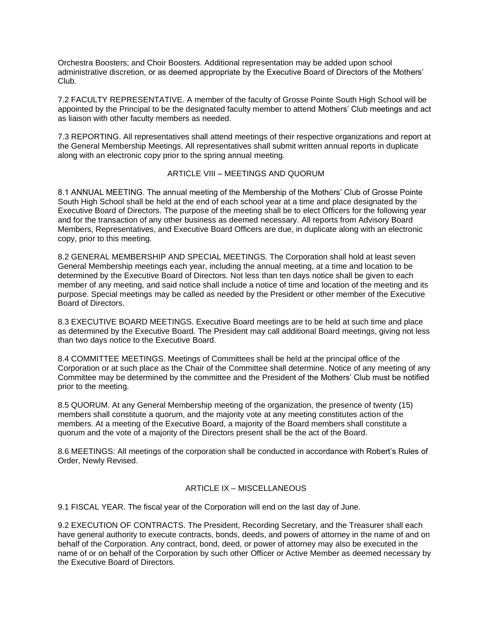Orchestra Boosters; and Choir Boosters. Additional representation may be added upon school administrative discretion, or as deemed appropriate by the Executive Board of Directors of the Mothers' Club.

7.2 FACULTY REPRESENTATIVE. A member of the faculty of Grosse Pointe South High School will be appointed by the Principal to be the designated faculty member to attend Mothers' Club meetings and act as liaison with other faculty members as needed.

7.3 REPORTING. All representatives shall attend meetings of their respective organizations and report at the General Membership Meetings. All representatives shall submit written annual reports in duplicate along with an electronic copy prior to the spring annual meeting.

## ARTICLE VIII – MEETINGS AND QUORUM

8.1 ANNUAL MEETING. The annual meeting of the Membership of the Mothers' Club of Grosse Pointe South High School shall be held at the end of each school year at a time and place designated by the Executive Board of Directors. The purpose of the meeting shall be to elect Officers for the following year and for the transaction of any other business as deemed necessary. All reports from Advisory Board Members, Representatives, and Executive Board Officers are due, in duplicate along with an electronic copy, prior to this meeting.

8.2 GENERAL MEMBERSHIP AND SPECIAL MEETINGS. The Corporation shall hold at least seven General Membership meetings each year, including the annual meeting, at a time and location to be determined by the Executive Board of Directors. Not less than ten days notice shall be given to each member of any meeting, and said notice shall include a notice of time and location of the meeting and its purpose. Special meetings may be called as needed by the President or other member of the Executive Board of Directors.

8.3 EXECUTIVE BOARD MEETINGS. Executive Board meetings are to be held at such time and place as determined by the Executive Board. The President may call additional Board meetings, giving not less than two days notice to the Executive Board.

8.4 COMMITTEE MEETINGS. Meetings of Committees shall be held at the principal office of the Corporation or at such place as the Chair of the Committee shall determine. Notice of any meeting of any Committee may be determined by the committee and the President of the Mothers' Club must be notified prior to the meeting.

8.5 QUORUM. At any General Membership meeting of the organization, the presence of twenty (15) members shall constitute a quorum, and the majority vote at any meeting constitutes action of the members. At a meeting of the Executive Board, a majority of the Board members shall constitute a quorum and the vote of a majority of the Directors present shall be the act of the Board.

8.6 MEETINGS: All meetings of the corporation shall be conducted in accordance with Robert's Rules of Order, Newly Revised.

### ARTICLE IX – MISCELLANEOUS

9.1 FISCAL YEAR. The fiscal year of the Corporation will end on the last day of June.

9.2 EXECUTION OF CONTRACTS. The President, Recording Secretary, and the Treasurer shall each have general authority to execute contracts, bonds, deeds, and powers of attorney in the name of and on behalf of the Corporation. Any contract, bond, deed, or power of attorney may also be executed in the name of or on behalf of the Corporation by such other Officer or Active Member as deemed necessary by the Executive Board of Directors.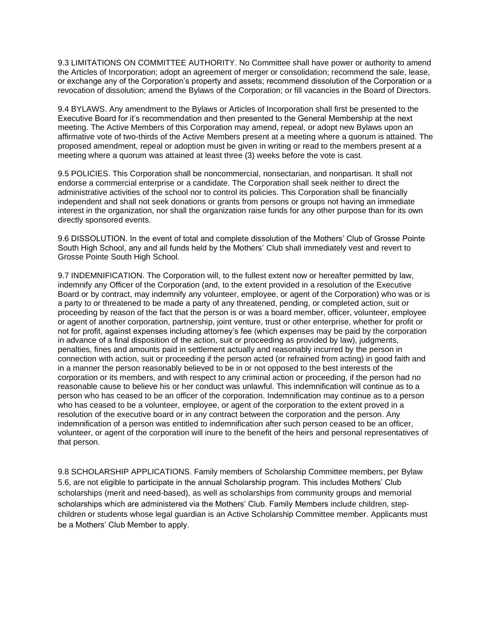9.3 LIMITATIONS ON COMMITTEE AUTHORITY. No Committee shall have power or authority to amend the Articles of Incorporation; adopt an agreement of merger or consolidation; recommend the sale, lease, or exchange any of the Corporation's property and assets; recommend dissolution of the Corporation or a revocation of dissolution; amend the Bylaws of the Corporation; or fill vacancies in the Board of Directors.

9.4 BYLAWS. Any amendment to the Bylaws or Articles of Incorporation shall first be presented to the Executive Board for it's recommendation and then presented to the General Membership at the next meeting. The Active Members of this Corporation may amend, repeal, or adopt new Bylaws upon an affirmative vote of two-thirds of the Active Members present at a meeting where a quorum is attained. The proposed amendment, repeal or adoption must be given in writing or read to the members present at a meeting where a quorum was attained at least three (3) weeks before the vote is cast.

9.5 POLICIES. This Corporation shall be noncommercial, nonsectarian, and nonpartisan. It shall not endorse a commercial enterprise or a candidate. The Corporation shall seek neither to direct the administrative activities of the school nor to control its policies. This Corporation shall be financially independent and shall not seek donations or grants from persons or groups not having an immediate interest in the organization, nor shall the organization raise funds for any other purpose than for its own directly sponsored events.

9.6 DISSOLUTION. In the event of total and complete dissolution of the Mothers' Club of Grosse Pointe South High School, any and all funds held by the Mothers' Club shall immediately vest and revert to Grosse Pointe South High School.

9.7 INDEMNIFICATION. The Corporation will, to the fullest extent now or hereafter permitted by law, indemnify any Officer of the Corporation (and, to the extent provided in a resolution of the Executive Board or by contract, may indemnify any volunteer, employee, or agent of the Corporation) who was or is a party to or threatened to be made a party of any threatened, pending, or completed action, suit or proceeding by reason of the fact that the person is or was a board member, officer, volunteer, employee or agent of another corporation, partnership, joint venture, trust or other enterprise, whether for profit or not for profit, against expenses including attorney's fee (which expenses may be paid by the corporation in advance of a final disposition of the action, suit or proceeding as provided by law), judgments, penalties, fines and amounts paid in settlement actually and reasonably incurred by the person in connection with action, suit or proceeding if the person acted (or refrained from acting) in good faith and in a manner the person reasonably believed to be in or not opposed to the best interests of the corporation or its members, and with respect to any criminal action or proceeding, if the person had no reasonable cause to believe his or her conduct was unlawful. This indemnification will continue as to a person who has ceased to be an officer of the corporation. Indemnification may continue as to a person who has ceased to be a volunteer, employee, or agent of the corporation to the extent proved in a resolution of the executive board or in any contract between the corporation and the person. Any indemnification of a person was entitled to indemnification after such person ceased to be an officer, volunteer, or agent of the corporation will inure to the benefit of the heirs and personal representatives of that person.

9.8 SCHOLARSHIP APPLICATIONS. Family members of Scholarship Committee members, per Bylaw 5.6, are not eligible to participate in the annual Scholarship program. This includes Mothers' Club scholarships (merit and need-based), as well as scholarships from community groups and memorial scholarships which are administered via the Mothers' Club. Family Members include children, stepchildren or students whose legal guardian is an Active Scholarship Committee member. Applicants must be a Mothers' Club Member to apply.